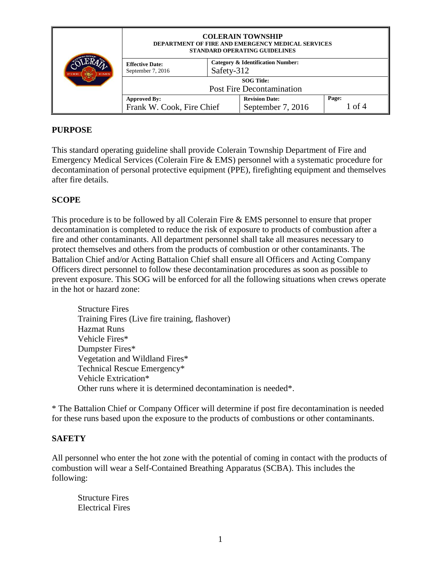|             | <b>COLERAIN TOWNSHIP</b><br><b>DEPARTMENT OF FIRE AND EMERGENCY MEDICAL SERVICES</b><br>STANDARD OPERATING GUIDELINES |                                                            |                                            |                      |  |
|-------------|-----------------------------------------------------------------------------------------------------------------------|------------------------------------------------------------|--------------------------------------------|----------------------|--|
| FIRE<br>EMS | <b>Effective Date:</b><br>September 7, 2016                                                                           | <b>Category &amp; Identification Number:</b><br>Safety-312 |                                            |                      |  |
|             | <b>SOG</b> Title:<br><b>Post Fire Decontamination</b>                                                                 |                                                            |                                            |                      |  |
|             | <b>Approved By:</b><br>Frank W. Cook, Fire Chief                                                                      |                                                            | <b>Revision Date:</b><br>September 7, 2016 | Page:<br>$\int$ of 4 |  |

#### **PURPOSE**

This standard operating guideline shall provide Colerain Township Department of Fire and Emergency Medical Services (Colerain Fire & EMS) personnel with a systematic procedure for decontamination of personal protective equipment (PPE), firefighting equipment and themselves after fire details.

#### **SCOPE**

This procedure is to be followed by all Colerain Fire & EMS personnel to ensure that proper decontamination is completed to reduce the risk of exposure to products of combustion after a fire and other contaminants. All department personnel shall take all measures necessary to protect themselves and others from the products of combustion or other contaminants. The Battalion Chief and/or Acting Battalion Chief shall ensure all Officers and Acting Company Officers direct personnel to follow these decontamination procedures as soon as possible to prevent exposure. This SOG will be enforced for all the following situations when crews operate in the hot or hazard zone:

Structure Fires Training Fires (Live fire training, flashover) Hazmat Runs Vehicle Fires\* Dumpster Fires\* Vegetation and Wildland Fires\* Technical Rescue Emergency\* Vehicle Extrication\* Other runs where it is determined decontamination is needed\*.

\* The Battalion Chief or Company Officer will determine if post fire decontamination is needed for these runs based upon the exposure to the products of combustions or other contaminants.

#### **SAFETY**

All personnel who enter the hot zone with the potential of coming in contact with the products of combustion will wear a Self-Contained Breathing Apparatus (SCBA). This includes the following:

Structure Fires Electrical Fires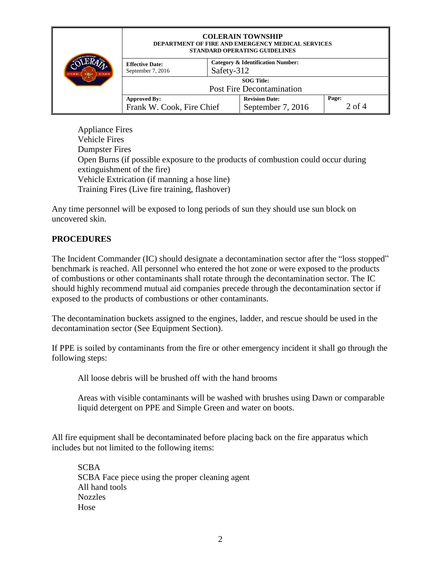|             | <b>COLERAIN TOWNSHIP</b><br><b>DEPARTMENT OF FIRE AND EMERGENCY MEDICAL SERVICES</b><br>STANDARD OPERATING GUIDELINES |                                                            |                                            |                 |  |
|-------------|-----------------------------------------------------------------------------------------------------------------------|------------------------------------------------------------|--------------------------------------------|-----------------|--|
| FIRE<br>EMS | <b>Effective Date:</b><br>September 7, 2016                                                                           | <b>Category &amp; Identification Number:</b><br>Safety-312 |                                            |                 |  |
|             | <b>SOG</b> Title:<br><b>Post Fire Decontamination</b>                                                                 |                                                            |                                            |                 |  |
|             | <b>Approved By:</b><br>Frank W. Cook, Fire Chief                                                                      |                                                            | <b>Revision Date:</b><br>September 7, 2016 | Page:<br>2 of 4 |  |

Appliance Fires Vehicle Fires Dumpster Fires Open Burns (if possible exposure to the products of combustion could occur during extinguishment of the fire) Vehicle Extrication (if manning a hose line) Training Fires (Live fire training, flashover)

Any time personnel will be exposed to long periods of sun they should use sun block on uncovered skin.

### **PROCEDURES**

The Incident Commander (IC) should designate a decontamination sector after the "loss stopped" benchmark is reached. All personnel who entered the hot zone or were exposed to the products of combustions or other contaminants shall rotate through the decontamination sector. The IC should highly recommend mutual aid companies precede through the decontamination sector if exposed to the products of combustions or other contaminants.

The decontamination buckets assigned to the engines, ladder, and rescue should be used in the decontamination sector (See Equipment Section).

If PPE is soiled by contaminants from the fire or other emergency incident it shall go through the following steps:

All loose debris will be brushed off with the hand brooms

Areas with visible contaminants will be washed with brushes using Dawn or comparable liquid detergent on PPE and Simple Green and water on boots.

All fire equipment shall be decontaminated before placing back on the fire apparatus which includes but not limited to the following items:

SCBA SCBA Face piece using the proper cleaning agent All hand tools Nozzles Hose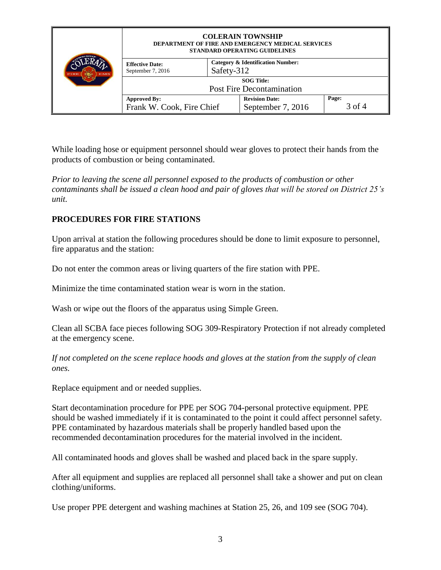|             | <b>COLERAIN TOWNSHIP</b><br><b>DEPARTMENT OF FIRE AND EMERGENCY MEDICAL SERVICES</b><br>STANDARD OPERATING GUIDELINES |                                                            |                                            |                 |  |
|-------------|-----------------------------------------------------------------------------------------------------------------------|------------------------------------------------------------|--------------------------------------------|-----------------|--|
| FIRE<br>EMS | <b>Effective Date:</b><br>September 7, 2016                                                                           | <b>Category &amp; Identification Number:</b><br>Safety-312 |                                            |                 |  |
|             | <b>SOG</b> Title:<br><b>Post Fire Decontamination</b>                                                                 |                                                            |                                            |                 |  |
|             | <b>Approved By:</b><br>Frank W. Cook, Fire Chief                                                                      |                                                            | <b>Revision Date:</b><br>September 7, 2016 | Page:<br>3 of 4 |  |

While loading hose or equipment personnel should wear gloves to protect their hands from the products of combustion or being contaminated.

*Prior to leaving the scene all personnel exposed to the products of combustion or other contaminants shall be issued a clean hood and pair of gloves that will be stored on District 25's unit.* 

### **PROCEDURES FOR FIRE STATIONS**

Upon arrival at station the following procedures should be done to limit exposure to personnel, fire apparatus and the station:

Do not enter the common areas or living quarters of the fire station with PPE.

Minimize the time contaminated station wear is worn in the station.

Wash or wipe out the floors of the apparatus using Simple Green.

Clean all SCBA face pieces following SOG 309-Respiratory Protection if not already completed at the emergency scene.

*If not completed on the scene replace hoods and gloves at the station from the supply of clean ones.*

Replace equipment and or needed supplies.

Start decontamination procedure for PPE per SOG 704-personal protective equipment. PPE should be washed immediately if it is contaminated to the point it could affect personnel safety. PPE contaminated by hazardous materials shall be properly handled based upon the recommended decontamination procedures for the material involved in the incident.

All contaminated hoods and gloves shall be washed and placed back in the spare supply.

After all equipment and supplies are replaced all personnel shall take a shower and put on clean clothing/uniforms.

Use proper PPE detergent and washing machines at Station 25, 26, and 109 see (SOG 704).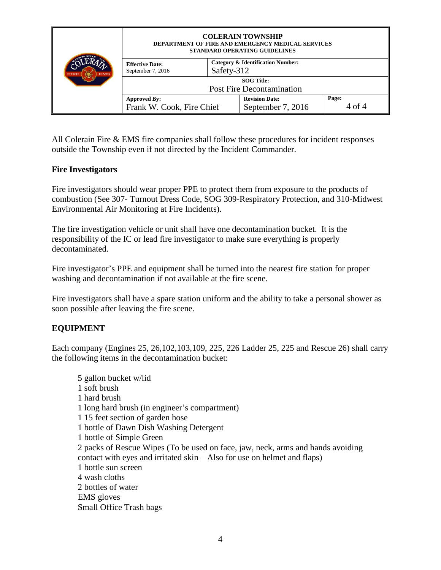|             | <b>COLERAIN TOWNSHIP</b><br>DEPARTMENT OF FIRE AND EMERGENCY MEDICAL SERVICES<br>STANDARD OPERATING GUIDELINES |                                                            |                                            |                 |
|-------------|----------------------------------------------------------------------------------------------------------------|------------------------------------------------------------|--------------------------------------------|-----------------|
| FIRE<br>EMS | <b>Effective Date:</b><br>September 7, 2016                                                                    | <b>Category &amp; Identification Number:</b><br>Safety-312 |                                            |                 |
|             | <b>SOG</b> Title:<br><b>Post Fire Decontamination</b>                                                          |                                                            |                                            |                 |
|             | <b>Approved By:</b><br>Frank W. Cook, Fire Chief                                                               |                                                            | <b>Revision Date:</b><br>September 7, 2016 | Page:<br>4 of 4 |

All Colerain Fire & EMS fire companies shall follow these procedures for incident responses outside the Township even if not directed by the Incident Commander.

#### **Fire Investigators**

Fire investigators should wear proper PPE to protect them from exposure to the products of combustion (See 307- Turnout Dress Code, SOG 309-Respiratory Protection, and 310-Midwest Environmental Air Monitoring at Fire Incidents).

The fire investigation vehicle or unit shall have one decontamination bucket. It is the responsibility of the IC or lead fire investigator to make sure everything is properly decontaminated.

Fire investigator's PPE and equipment shall be turned into the nearest fire station for proper washing and decontamination if not available at the fire scene.

Fire investigators shall have a spare station uniform and the ability to take a personal shower as soon possible after leaving the fire scene.

### **EQUIPMENT**

Each company (Engines 25, 26,102,103,109, 225, 226 Ladder 25, 225 and Rescue 26) shall carry the following items in the decontamination bucket:

5 gallon bucket w/lid 1 soft brush 1 hard brush 1 long hard brush (in engineer's compartment) 1 15 feet section of garden hose 1 bottle of Dawn Dish Washing Detergent 1 bottle of Simple Green 2 packs of Rescue Wipes (To be used on face, jaw, neck, arms and hands avoiding contact with eyes and irritated skin – Also for use on helmet and flaps) 1 bottle sun screen 4 wash cloths 2 bottles of water EMS gloves Small Office Trash bags